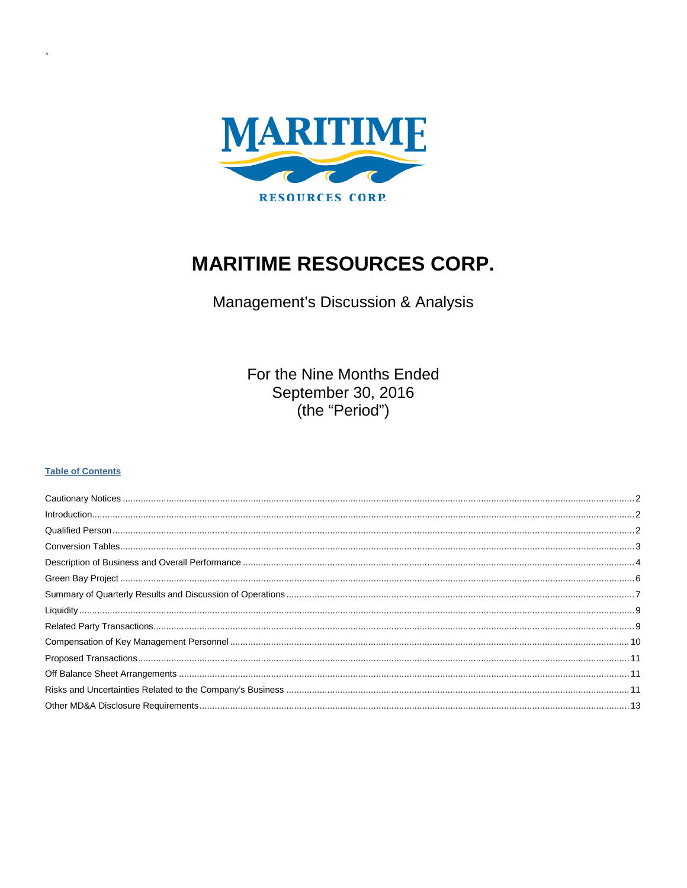

# **MARITIME RESOURCES CORP.**

Management's Discussion & Analysis

For the Nine Months Ended September 30, 2016 (the "Period")

#### **Table of Contents**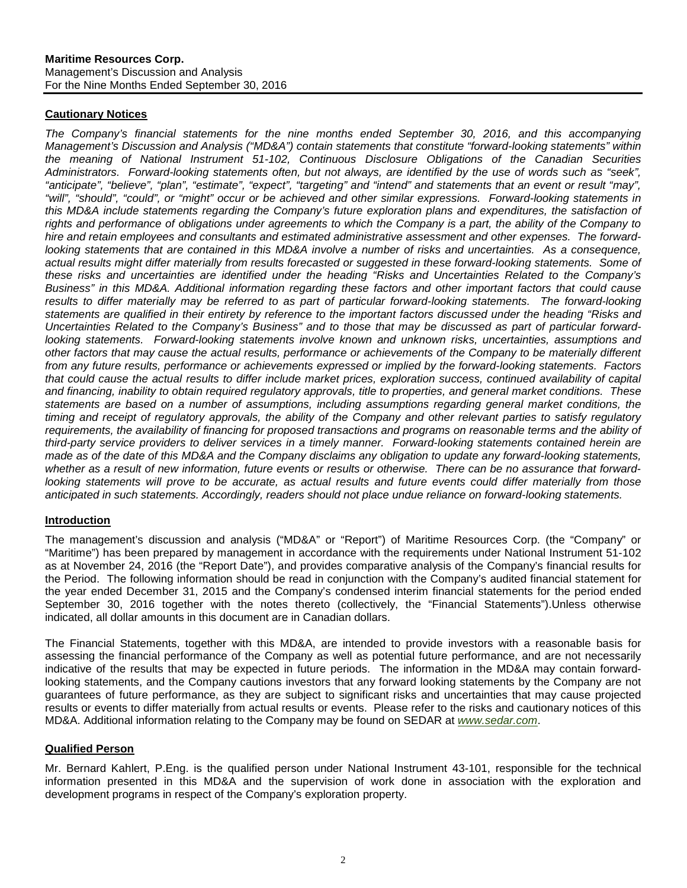## <span id="page-1-0"></span>**Cautionary Notices**

*The Company's financial statements for the nine months ended September 30, 2016, and this accompanying Management's Discussion and Analysis ("MD&A") contain statements that constitute "forward-looking statements" within the meaning of National Instrument 51-102, Continuous Disclosure Obligations of the Canadian Securities Administrators. Forward-looking statements often, but not always, are identified by the use of words such as "seek", "anticipate", "believe", "plan", "estimate", "expect", "targeting" and "intend" and statements that an event or result "may", "will", "should", "could", or "might" occur or be achieved and other similar expressions. Forward-looking statements in*  this MD&A include statements regarding the Company's future exploration plans and expenditures, the satisfaction of rights and performance of obligations under agreements to which the Company is a part, the ability of the Company to *hire and retain employees and consultants and estimated administrative assessment and other expenses. The forward*looking statements that are contained in this MD&A involve a number of risks and uncertainties. As a consequence, *actual results might differ materially from results forecasted or suggested in these forward-looking statements. Some of these risks and uncertainties are identified under the heading "Risks and Uncertainties Related to the Company's Business" in this MD&A. Additional information regarding these factors and other important factors that could cause*  results to differ materially may be referred to as part of particular forward-looking statements. The forward-looking *statements are qualified in their entirety by reference to the important factors discussed under the heading "Risks and Uncertainties Related to the Company's Business" and to those that may be discussed as part of particular forwardlooking statements. Forward-looking statements involve known and unknown risks, uncertainties, assumptions and other factors that may cause the actual results, performance or achievements of the Company to be materially different from any future results, performance or achievements expressed or implied by the forward-looking statements. Factors that could cause the actual results to differ include market prices, exploration success, continued availability of capital and financing, inability to obtain required regulatory approvals, title to properties, and general market conditions. These statements are based on a number of assumptions, including assumptions regarding general market conditions, the timing and receipt of regulatory approvals, the ability of the Company and other relevant parties to satisfy regulatory*  requirements, the availability of financing for proposed transactions and programs on reasonable terms and the ability of *third-party service providers to deliver services in a timely manner. Forward-looking statements contained herein are made as of the date of this MD&A and the Company disclaims any obligation to update any forward-looking statements, whether as a result of new information, future events or results or otherwise. There can be no assurance that forwardlooking statements will prove to be accurate, as actual results and future events could differ materially from those anticipated in such statements. Accordingly, readers should not place undue reliance on forward-looking statements.*

#### <span id="page-1-1"></span>**Introduction**

The management's discussion and analysis ("MD&A" or "Report") of Maritime Resources Corp. (the "Company" or "Maritime") has been prepared by management in accordance with the requirements under National Instrument 51-102 as at November 24, 2016 (the "Report Date"), and provides comparative analysis of the Company's financial results for the Period. The following information should be read in conjunction with the Company's audited financial statement for the year ended December 31, 2015 and the Company's condensed interim financial statements for the period ended September 30, 2016 together with the notes thereto (collectively, the "Financial Statements").Unless otherwise indicated, all dollar amounts in this document are in Canadian dollars.

The Financial Statements, together with this MD&A, are intended to provide investors with a reasonable basis for assessing the financial performance of the Company as well as potential future performance, and are not necessarily indicative of the results that may be expected in future periods. The information in the MD&A may contain forwardlooking statements, and the Company cautions investors that any forward looking statements by the Company are not guarantees of future performance, as they are subject to significant risks and uncertainties that may cause projected results or events to differ materially from actual results or events. Please refer to the risks and cautionary notices of this MD&A. Additional information relating to the Company may be found on SEDAR at *[www.sedar.com](http://www.sedar.com/)*.

## <span id="page-1-2"></span>**Qualified Person**

Mr. Bernard Kahlert, P.Eng. is the qualified person under National Instrument 43-101, responsible for the technical information presented in this MD&A and the supervision of work done in association with the exploration and development programs in respect of the Company's exploration property.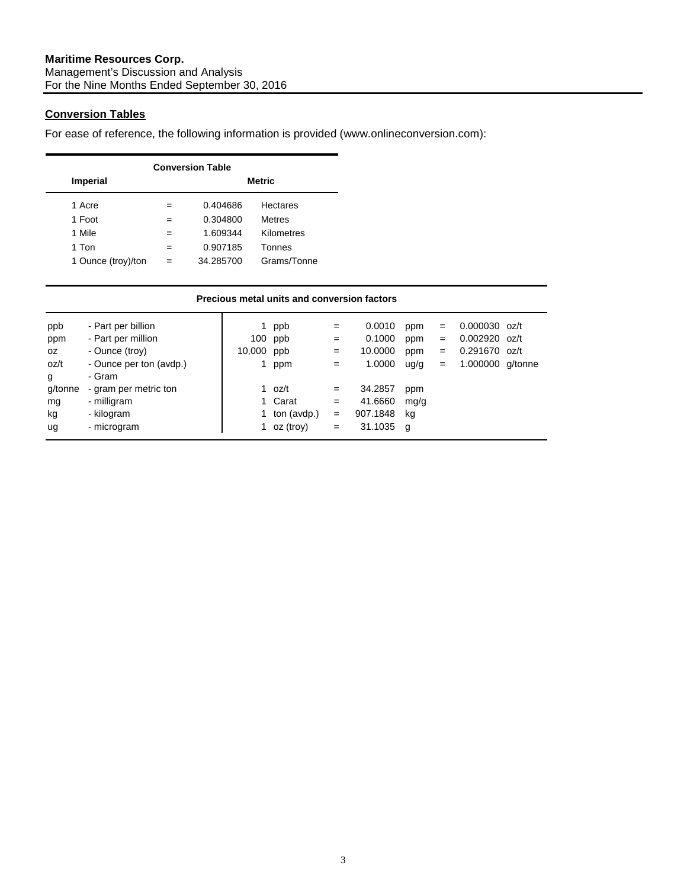## <span id="page-2-0"></span>**Conversion Tables**

For ease of reference, the following information is provided (www.onlineconversion.com):

| <b>Conversion Table</b> |               |           |               |  |  |  |  |  |  |  |  |
|-------------------------|---------------|-----------|---------------|--|--|--|--|--|--|--|--|
| <b>Imperial</b>         | <b>Metric</b> |           |               |  |  |  |  |  |  |  |  |
| 1 Acre                  |               | 0.404686  | Hectares      |  |  |  |  |  |  |  |  |
| 1 Foot                  |               | 0.304800  | <b>Metres</b> |  |  |  |  |  |  |  |  |
| 1 Mile                  | $=$           | 1.609344  | Kilometres    |  |  |  |  |  |  |  |  |
| 1 Ton                   |               | 0.907185  | Tonnes        |  |  |  |  |  |  |  |  |
| 1 Ounce (troy)/ton      | $=$           | 34.285700 | Grams/Tonne   |  |  |  |  |  |  |  |  |

#### **Precious metal units and conversion factors**

| ppb     | - Part per billion      |            | ppb                    | $=$ | 0.0010   | ppm  | $=$ | $0.000030$ oz/t  |  |
|---------|-------------------------|------------|------------------------|-----|----------|------|-----|------------------|--|
| ppm     | - Part per million      |            | 100 ppb                | $=$ | 0.1000   | ppm  | $=$ | $0.002920$ oz/t  |  |
| 0Z      | - Ounce (troy)          | 10,000 ppb |                        | $=$ | 10.0000  | ppm  | $=$ | 0.291670 oz/t    |  |
| oz/t    | - Ounce per ton (avdp.) |            | ppm                    | $=$ | 1.0000   | uq/q | $=$ | 1.000000 g/tonne |  |
| g       | - Gram                  |            |                        |     |          |      |     |                  |  |
| g/tonne | - gram per metric ton   |            | 1 $oz/t$               | $=$ | 34.2857  | ppm  |     |                  |  |
| mg      | - milligram             |            | 1 Carat                | $=$ | 41.6660  | mg/g |     |                  |  |
| kg      | - kilogram              |            | 1 ton $(\text{avdp.})$ | $=$ | 907.1848 | ka   |     |                  |  |
| ug      | - microgram             |            | 1 oz (troy)            | $=$ | 31.1035  | g    |     |                  |  |
|         |                         |            |                        |     |          |      |     |                  |  |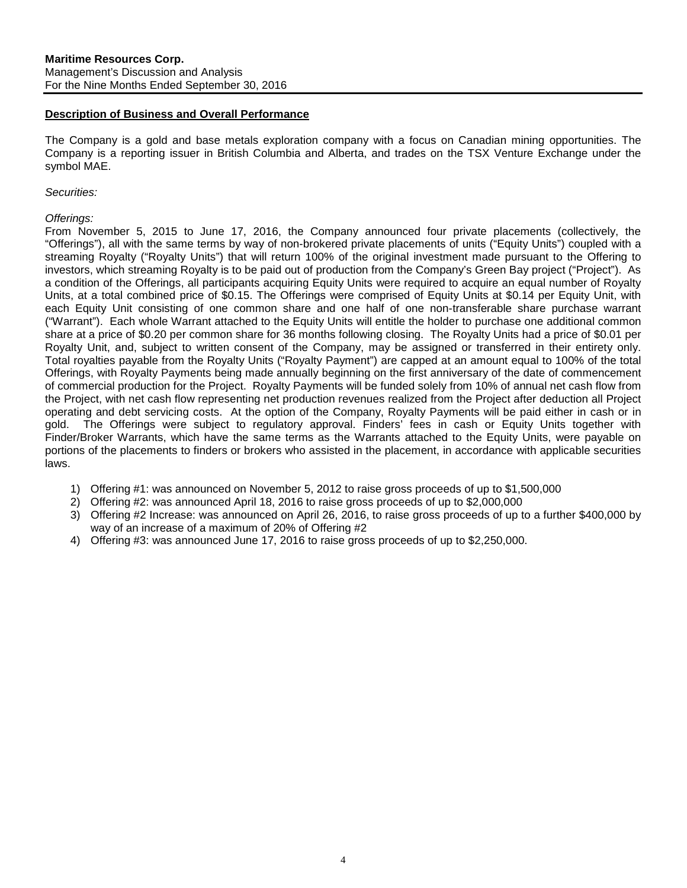#### <span id="page-3-0"></span>**Description of Business and Overall Performance**

The Company is a gold and base metals exploration company with a focus on Canadian mining opportunities. The Company is a reporting issuer in British Columbia and Alberta, and trades on the TSX Venture Exchange under the symbol MAE.

#### *Securities:*

#### *Offerings:*

From November 5, 2015 to June 17, 2016, the Company announced four private placements (collectively, the "Offerings"), all with the same terms by way of non-brokered private placements of units ("Equity Units") coupled with a streaming Royalty ("Royalty Units") that will return 100% of the original investment made pursuant to the Offering to investors, which streaming Royalty is to be paid out of production from the Company's Green Bay project ("Project"). As a condition of the Offerings, all participants acquiring Equity Units were required to acquire an equal number of Royalty Units, at a total combined price of \$0.15. The Offerings were comprised of Equity Units at \$0.14 per Equity Unit, with each Equity Unit consisting of one common share and one half of one non-transferable share purchase warrant ("Warrant"). Each whole Warrant attached to the Equity Units will entitle the holder to purchase one additional common share at a price of \$0.20 per common share for 36 months following closing. The Royalty Units had a price of \$0.01 per Royalty Unit, and, subject to written consent of the Company, may be assigned or transferred in their entirety only. Total royalties payable from the Royalty Units ("Royalty Payment") are capped at an amount equal to 100% of the total Offerings, with Royalty Payments being made annually beginning on the first anniversary of the date of commencement of commercial production for the Project. Royalty Payments will be funded solely from 10% of annual net cash flow from the Project, with net cash flow representing net production revenues realized from the Project after deduction all Project operating and debt servicing costs. At the option of the Company, Royalty Payments will be paid either in cash or in gold. The Offerings were subject to regulatory approval. Finders' fees in cash or Equity Units together with Finder/Broker Warrants, which have the same terms as the Warrants attached to the Equity Units, were payable on portions of the placements to finders or brokers who assisted in the placement, in accordance with applicable securities laws.

- 1) Offering #1: was announced on November 5, 2012 to raise gross proceeds of up to \$1,500,000
- 2) Offering #2: was announced April 18, 2016 to raise gross proceeds of up to \$2,000,000
- 3) Offering #2 Increase: was announced on April 26, 2016, to raise gross proceeds of up to a further \$400,000 by way of an increase of a maximum of 20% of Offering #2
- 4) Offering #3: was announced June 17, 2016 to raise gross proceeds of up to \$2,250,000.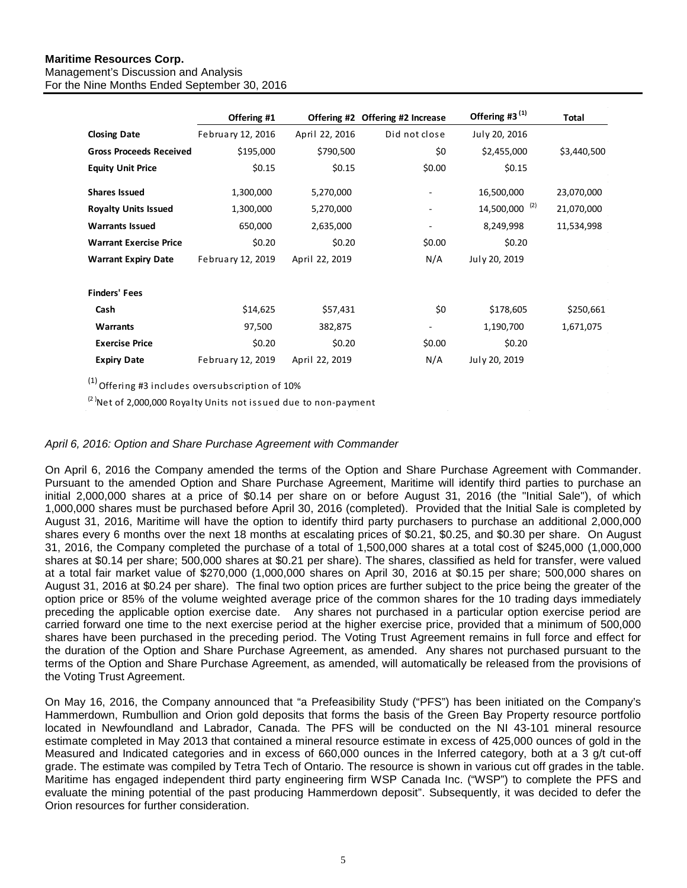#### **Maritime Resources Corp.** Management's Discussion and Analysis For the Nine Months Ended September 30, 2016

|                                | Offering #1       |                | Offering #2 Offering #2 Increase | Offering #3 $(1)$         | <b>Total</b> |
|--------------------------------|-------------------|----------------|----------------------------------|---------------------------|--------------|
| <b>Closing Date</b>            | February 12, 2016 | April 22, 2016 | Did not close                    | July 20, 2016             |              |
| <b>Gross Proceeds Received</b> | \$195,000         | \$790,500      | \$0                              | \$2,455,000               | \$3,440,500  |
| <b>Equity Unit Price</b>       | \$0.15            | \$0.15         | \$0.00                           | \$0.15                    |              |
| <b>Shares Issued</b>           | 1,300,000         | 5,270,000      |                                  | 16,500,000                | 23,070,000   |
| <b>Royalty Units Issued</b>    | 1,300,000         | 5,270,000      |                                  | 14,500,000 <sup>(2)</sup> | 21,070,000   |
| <b>Warrants Issued</b>         | 650,000           | 2,635,000      | $\overline{\phantom{a}}$         | 8,249,998                 | 11,534,998   |
| <b>Warrant Exercise Price</b>  | \$0.20            | \$0.20         | \$0.00                           | \$0.20                    |              |
| <b>Warrant Expiry Date</b>     | February 12, 2019 | April 22, 2019 | N/A                              | July 20, 2019             |              |
| <b>Finders' Fees</b>           |                   |                |                                  |                           |              |
| Cash                           | \$14,625          | \$57,431       | \$0                              | \$178,605                 | \$250,661    |
| <b>Warrants</b>                | 97,500            | 382,875        |                                  | 1,190,700                 | 1,671,075    |
| <b>Exercise Price</b>          | \$0.20            | \$0.20         | \$0.00                           | \$0.20                    |              |
| <b>Expiry Date</b>             | February 12, 2019 | April 22, 2019 | N/A                              | July 20, 2019             |              |

 $^{(1)}$  Offering #3 includes oversubscription of 10%

 $^{(2)}$ Net of 2,000,000 Royalty Units not issued due to non-payment

#### *April 6, 2016: Option and Share Purchase Agreement with Commander*

On April 6, 2016 the Company amended the terms of the Option and Share Purchase Agreement with Commander. Pursuant to the amended Option and Share Purchase Agreement, Maritime will identify third parties to purchase an initial 2,000,000 shares at a price of \$0.14 per share on or before August 31, 2016 (the "Initial Sale"), of which 1,000,000 shares must be purchased before April 30, 2016 (completed). Provided that the Initial Sale is completed by August 31, 2016, Maritime will have the option to identify third party purchasers to purchase an additional 2,000,000 shares every 6 months over the next 18 months at escalating prices of \$0.21, \$0.25, and \$0.30 per share. On August 31, 2016, the Company completed the purchase of a total of 1,500,000 shares at a total cost of \$245,000 (1,000,000 shares at \$0.14 per share; 500,000 shares at \$0.21 per share). The shares, classified as held for transfer, were valued at a total fair market value of \$270,000 (1,000,000 shares on April 30, 2016 at \$0.15 per share; 500,000 shares on August 31, 2016 at \$0.24 per share). The final two option prices are further subject to the price being the greater of the option price or 85% of the volume weighted average price of the common shares for the 10 trading days immediately preceding the applicable option exercise date. Any shares not purchased in a particular option exercise period are carried forward one time to the next exercise period at the higher exercise price, provided that a minimum of 500,000 shares have been purchased in the preceding period. The Voting Trust Agreement remains in full force and effect for the duration of the Option and Share Purchase Agreement, as amended. Any shares not purchased pursuant to the terms of the Option and Share Purchase Agreement, as amended, will automatically be released from the provisions of the Voting Trust Agreement.

On May 16, 2016, the Company announced that "a Prefeasibility Study ("PFS") has been initiated on the Company's Hammerdown, Rumbullion and Orion gold deposits that forms the basis of the Green Bay Property resource portfolio located in Newfoundland and Labrador, Canada. The PFS will be conducted on the NI 43-101 mineral resource estimate completed in May 2013 that contained a mineral resource estimate in excess of 425,000 ounces of gold in the Measured and Indicated categories and in excess of 660,000 ounces in the Inferred category, both at a 3 g/t cut-off grade. The estimate was compiled by Tetra Tech of Ontario. The resource is shown in various cut off grades in the table. Maritime has engaged independent third party engineering firm WSP Canada Inc. ("WSP") to complete the PFS and evaluate the mining potential of the past producing Hammerdown deposit". Subsequently, it was decided to defer the Orion resources for further consideration.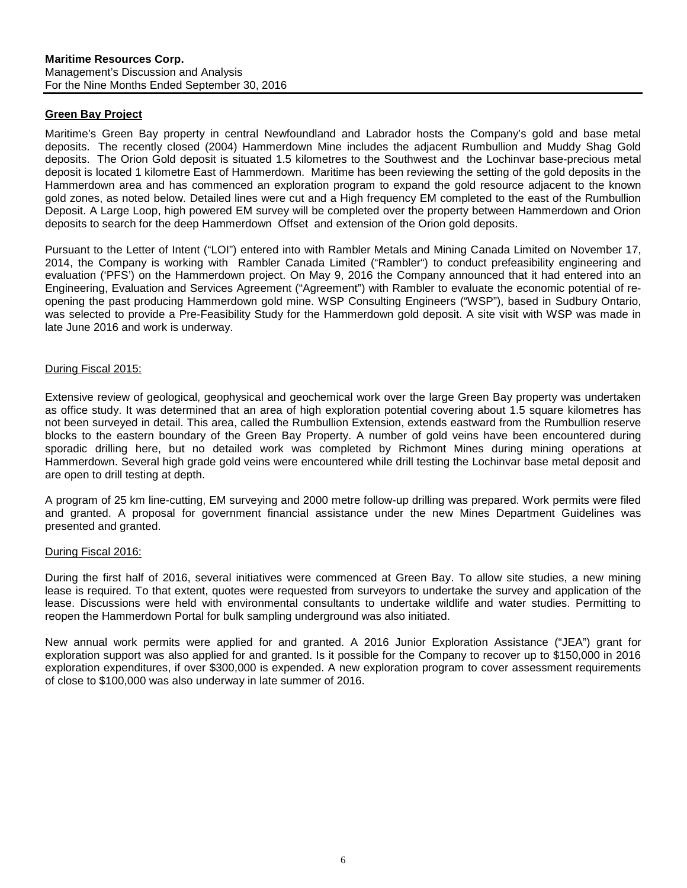## <span id="page-5-0"></span>**Green Bay Project**

Maritime's Green Bay property in central Newfoundland and Labrador hosts the Company's gold and base metal deposits. The recently closed (2004) Hammerdown Mine includes the adjacent Rumbullion and Muddy Shag Gold deposits. The Orion Gold deposit is situated 1.5 kilometres to the Southwest and the Lochinvar base-precious metal deposit is located 1 kilometre East of Hammerdown. Maritime has been reviewing the setting of the gold deposits in the Hammerdown area and has commenced an exploration program to expand the gold resource adjacent to the known gold zones, as noted below. Detailed lines were cut and a High frequency EM completed to the east of the Rumbullion Deposit. A Large Loop, high powered EM survey will be completed over the property between Hammerdown and Orion deposits to search for the deep Hammerdown Offset and extension of the Orion gold deposits.

Pursuant to the Letter of Intent ("LOI") entered into with Rambler Metals and Mining Canada Limited on November 17, 2014, the Company is working with Rambler Canada Limited ("Rambler") to conduct prefeasibility engineering and evaluation ('PFS') on the Hammerdown project. On May 9, 2016 the Company announced that it had entered into an Engineering, Evaluation and Services Agreement ("Agreement") with Rambler to evaluate the economic potential of reopening the past producing Hammerdown gold mine. WSP Consulting Engineers ("WSP"), based in Sudbury Ontario, was selected to provide a Pre-Feasibility Study for the Hammerdown gold deposit. A site visit with WSP was made in late June 2016 and work is underway.

#### During Fiscal 2015:

Extensive review of geological, geophysical and geochemical work over the large Green Bay property was undertaken as office study. It was determined that an area of high exploration potential covering about 1.5 square kilometres has not been surveyed in detail. This area, called the Rumbullion Extension, extends eastward from the Rumbullion reserve blocks to the eastern boundary of the Green Bay Property. A number of gold veins have been encountered during sporadic drilling here, but no detailed work was completed by Richmont Mines during mining operations at Hammerdown. Several high grade gold veins were encountered while drill testing the Lochinvar base metal deposit and are open to drill testing at depth.

A program of 25 km line-cutting, EM surveying and 2000 metre follow-up drilling was prepared. Work permits were filed and granted. A proposal for government financial assistance under the new Mines Department Guidelines was presented and granted.

#### During Fiscal 2016:

During the first half of 2016, several initiatives were commenced at Green Bay. To allow site studies, a new mining lease is required. To that extent, quotes were requested from surveyors to undertake the survey and application of the lease. Discussions were held with environmental consultants to undertake wildlife and water studies. Permitting to reopen the Hammerdown Portal for bulk sampling underground was also initiated.

New annual work permits were applied for and granted. A 2016 Junior Exploration Assistance ("JEA") grant for exploration support was also applied for and granted. Is it possible for the Company to recover up to \$150,000 in 2016 exploration expenditures, if over \$300,000 is expended. A new exploration program to cover assessment requirements of close to \$100,000 was also underway in late summer of 2016.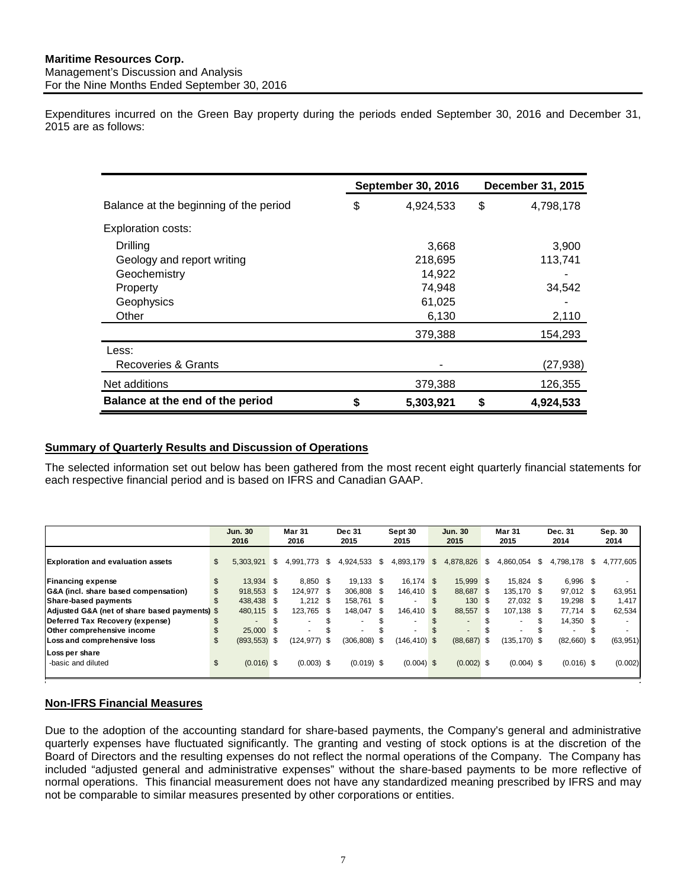Expenditures incurred on the Green Bay property during the periods ended September 30, 2016 and December 31, 2015 are as follows:

|                                        | <b>September 30, 2016</b> | <b>December 31, 2015</b> |
|----------------------------------------|---------------------------|--------------------------|
| Balance at the beginning of the period | \$<br>4,924,533           | \$<br>4,798,178          |
| <b>Exploration costs:</b>              |                           |                          |
| Drilling                               | 3,668                     | 3,900                    |
| Geology and report writing             | 218,695                   | 113,741                  |
| Geochemistry                           | 14,922                    |                          |
| Property                               | 74,948                    | 34,542                   |
| Geophysics                             | 61,025                    |                          |
| Other                                  | 6,130                     | 2,110                    |
|                                        | 379,388                   | 154,293                  |
| Less:                                  |                           |                          |
| <b>Recoveries &amp; Grants</b>         |                           | (27, 938)                |
| Net additions                          | 379,388                   | 126,355                  |
| Balance at the end of the period       | \$<br>5,303,921           | \$<br>4,924,533          |

## <span id="page-6-0"></span>**Summary of Quarterly Results and Discussion of Operations**

The selected information set out below has been gathered from the most recent eight quarterly financial statements for each respective financial period and is based on IFRS and Canadian GAAP.

|                                               | <b>Jun. 30</b>           |    | <b>Mar 31</b>   | <b>Dec 31</b>   |      | Sept 30         |               | <b>Jun. 30</b> |      | <b>Mar 31</b>            | Dec. 31            | Sep. 30   |
|-----------------------------------------------|--------------------------|----|-----------------|-----------------|------|-----------------|---------------|----------------|------|--------------------------|--------------------|-----------|
|                                               | 2016                     |    | 2016            | 2015            |      | 2015            |               | 2015           |      | 2015                     | 2014               | 2014      |
|                                               |                          |    |                 |                 |      |                 |               |                |      |                          |                    |           |
| <b>Exploration and evaluation assets</b>      | \$<br>5.303.921          | S. | 4,991,773       | \$<br>4,924,533 | S.   | 4,893,179       | $\mathcal{S}$ | 4,878,826      | S.   | 4,860,054                | \$<br>4,798,178 \$ | 4.777.605 |
|                                               |                          |    |                 |                 |      |                 |               |                |      |                          |                    |           |
| <b>Financing expense</b>                      | \$<br>13.934 \$          |    | $8.850$ \$      | 19.133 \$       |      | 16.174 \$       |               | 15.999 \$      |      | 15.824 \$                | $6.996$ \$         |           |
| G&A (incl. share based compensation)          | \$<br>918.553 \$         |    | 124.977 \$      | 306.808 \$      |      | 146.410 \$      |               | 88,687 \$      |      | 135,170 \$               | 97,012 \$          | 63,951    |
| Share-based payments                          | \$<br>438.438 \$         |    | $1.212$ \$      | 158.761 \$      |      | ÷.              |               | 130S           |      | 27.032 \$                | 19,298 \$          | 1,417     |
| Adjusted G&A (net of share based payments) \$ | 480.115 \$               |    | 123.765 \$      | 148,047         | - \$ | 146.410 \$      |               | 88.557 \$      |      | 107.138 \$               | 77,714 \$          | 62,534    |
| Deferred Tax Recovery (expense)               | $\overline{\phantom{a}}$ |    | ۰               |                 |      | ٠               |               | ۰              |      |                          | 14,350 \$          |           |
| Other comprehensive income                    | \$<br>25,000 \$          |    | ٠               |                 |      | ٠               |               | ۰.             |      | $\overline{\phantom{a}}$ | ۰.                 |           |
| Loss and comprehensive loss                   | \$<br>$(893, 553)$ \$    |    | $(124, 977)$ \$ | $(306, 808)$ \$ |      | $(146, 410)$ \$ |               | (88, 687)      | - \$ | $(135, 170)$ \$          | $(82,660)$ \$      | (63, 951) |
| Loss per share                                |                          |    |                 |                 |      |                 |               |                |      |                          |                    |           |
| -basic and diluted                            | \$<br>$(0.016)$ \$       |    | $(0.003)$ \$    | $(0.019)$ \$    |      | $(0.004)$ \$    |               | $(0.002)$ \$   |      | $(0.004)$ \$             | $(0.016)$ \$       | (0.002)   |
|                                               |                          |    |                 |                 |      |                 |               |                |      |                          |                    |           |

## **Non-IFRS Financial Measures**

Due to the adoption of the accounting standard for share-based payments, the Company's general and administrative quarterly expenses have fluctuated significantly. The granting and vesting of stock options is at the discretion of the Board of Directors and the resulting expenses do not reflect the normal operations of the Company. The Company has included "adjusted general and administrative expenses" without the share-based payments to be more reflective of normal operations. This financial measurement does not have any standardized meaning prescribed by IFRS and may not be comparable to similar measures presented by other corporations or entities.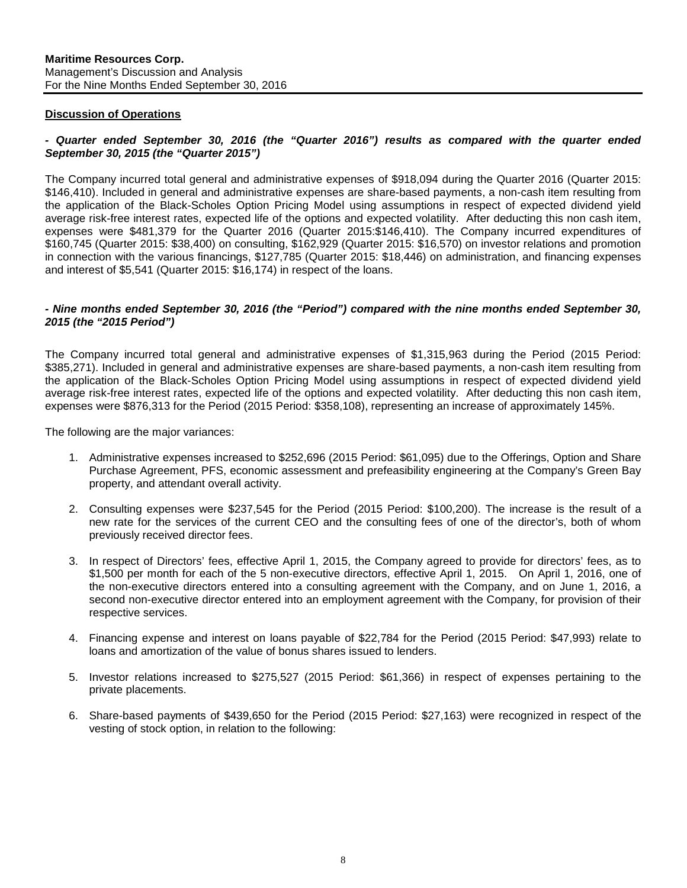#### **Discussion of Operations**

#### *- Quarter ended September 30, 2016 (the "Quarter 2016") results as compared with the quarter ended September 30, 2015 (the "Quarter 2015")*

The Company incurred total general and administrative expenses of \$918,094 during the Quarter 2016 (Quarter 2015: \$146,410). Included in general and administrative expenses are share-based payments, a non-cash item resulting from the application of the Black-Scholes Option Pricing Model using assumptions in respect of expected dividend yield average risk-free interest rates, expected life of the options and expected volatility. After deducting this non cash item, expenses were \$481,379 for the Quarter 2016 (Quarter 2015:\$146,410). The Company incurred expenditures of \$160,745 (Quarter 2015: \$38,400) on consulting, \$162,929 (Quarter 2015: \$16,570) on investor relations and promotion in connection with the various financings, \$127,785 (Quarter 2015: \$18,446) on administration, and financing expenses and interest of \$5,541 (Quarter 2015: \$16,174) in respect of the loans.

#### *- Nine months ended September 30, 2016 (the "Period") compared with the nine months ended September 30, 2015 (the "2015 Period")*

The Company incurred total general and administrative expenses of \$1,315,963 during the Period (2015 Period: \$385,271). Included in general and administrative expenses are share-based payments, a non-cash item resulting from the application of the Black-Scholes Option Pricing Model using assumptions in respect of expected dividend yield average risk-free interest rates, expected life of the options and expected volatility. After deducting this non cash item, expenses were \$876,313 for the Period (2015 Period: \$358,108), representing an increase of approximately 145%.

The following are the major variances:

- 1. Administrative expenses increased to \$252,696 (2015 Period: \$61,095) due to the Offerings, Option and Share Purchase Agreement, PFS, economic assessment and prefeasibility engineering at the Company's Green Bay property, and attendant overall activity.
- 2. Consulting expenses were \$237,545 for the Period (2015 Period: \$100,200). The increase is the result of a new rate for the services of the current CEO and the consulting fees of one of the director's, both of whom previously received director fees.
- 3. In respect of Directors' fees, effective April 1, 2015, the Company agreed to provide for directors' fees, as to \$1,500 per month for each of the 5 non-executive directors, effective April 1, 2015. On April 1, 2016, one of the non-executive directors entered into a consulting agreement with the Company, and on June 1, 2016, a second non-executive director entered into an employment agreement with the Company, for provision of their respective services.
- 4. Financing expense and interest on loans payable of \$22,784 for the Period (2015 Period: \$47,993) relate to loans and amortization of the value of bonus shares issued to lenders.
- 5. Investor relations increased to \$275,527 (2015 Period: \$61,366) in respect of expenses pertaining to the private placements.
- 6. Share-based payments of \$439,650 for the Period (2015 Period: \$27,163) were recognized in respect of the vesting of stock option, in relation to the following: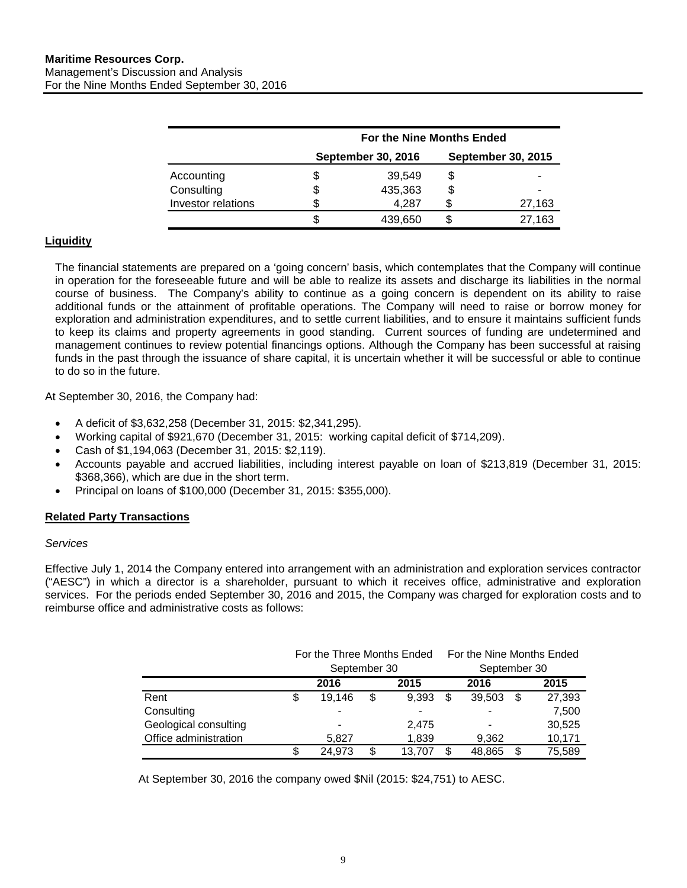|                    | <b>For the Nine Months Ended</b> |                           |   |                           |  |  |  |  |  |
|--------------------|----------------------------------|---------------------------|---|---------------------------|--|--|--|--|--|
|                    |                                  | <b>September 30, 2016</b> |   | <b>September 30, 2015</b> |  |  |  |  |  |
| Accounting         | S                                | 39.549                    | S |                           |  |  |  |  |  |
| Consulting         |                                  | 435,363                   | S |                           |  |  |  |  |  |
| Investor relations |                                  | 4.287                     |   | 27,163                    |  |  |  |  |  |
|                    |                                  | 439,650                   |   | 27.163                    |  |  |  |  |  |

## <span id="page-8-0"></span>**Liquidity**

The financial statements are prepared on a 'going concern' basis, which contemplates that the Company will continue in operation for the foreseeable future and will be able to realize its assets and discharge its liabilities in the normal course of business. The Company's ability to continue as a going concern is dependent on its ability to raise additional funds or the attainment of profitable operations. The Company will need to raise or borrow money for exploration and administration expenditures, and to settle current liabilities, and to ensure it maintains sufficient funds to keep its claims and property agreements in good standing. Current sources of funding are undetermined and management continues to review potential financings options. Although the Company has been successful at raising funds in the past through the issuance of share capital, it is uncertain whether it will be successful or able to continue to do so in the future.

At September 30, 2016, the Company had:

- A deficit of \$3,632,258 (December 31, 2015: \$2,341,295).
- Working capital of \$921,670 (December 31, 2015: working capital deficit of \$714,209).
- Cash of \$1,194,063 (December 31, 2015: \$2,119).
- Accounts payable and accrued liabilities, including interest payable on loan of \$213,819 (December 31, 2015: \$368,366), which are due in the short term.
- Principal on loans of \$100,000 (December 31, 2015: \$355,000).

#### <span id="page-8-1"></span>**Related Party Transactions**

#### *Services*

Effective July 1, 2014 the Company entered into arrangement with an administration and exploration services contractor ("AESC") in which a director is a shareholder, pursuant to which it receives office, administrative and exploration services. For the periods ended September 30, 2016 and 2015, the Company was charged for exploration costs and to reimburse office and administrative costs as follows:

|                       | For the Three Months Ended |              |    |        |    | For the Nine Months Ended |    |        |  |
|-----------------------|----------------------------|--------------|----|--------|----|---------------------------|----|--------|--|
|                       |                            | September 30 |    |        |    | September 30              |    |        |  |
|                       |                            | 2016         |    | 2015   |    | 2016                      |    | 2015   |  |
| Rent                  | \$                         | 19.146       | \$ | 9,393  | \$ | 39,503                    | \$ | 27,393 |  |
| Consulting            |                            | -            |    |        |    |                           |    | 7,500  |  |
| Geological consulting |                            |              |    | 2,475  |    | $\blacksquare$            |    | 30,525 |  |
| Office administration |                            | 5.827        |    | 1,839  |    | 9,362                     |    | 10,171 |  |
|                       | \$                         | 24.973       | S  | 13.707 |    | 48,865                    |    | 75,589 |  |

At September 30, 2016 the company owed \$Nil (2015: \$24,751) to AESC.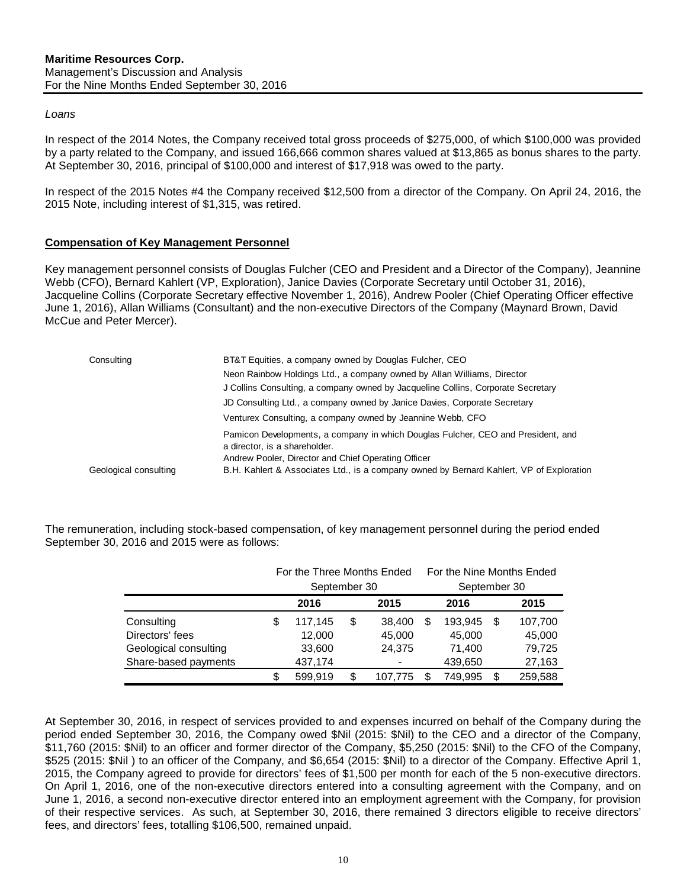#### *Loans*

In respect of the 2014 Notes, the Company received total gross proceeds of \$275,000, of which \$100,000 was provided by a party related to the Company, and issued 166,666 common shares valued at \$13,865 as bonus shares to the party. At September 30, 2016, principal of \$100,000 and interest of \$17,918 was owed to the party.

In respect of the 2015 Notes #4 the Company received \$12,500 from a director of the Company. On April 24, 2016, the 2015 Note, including interest of \$1,315, was retired.

## <span id="page-9-0"></span>**Compensation of Key Management Personnel**

Key management personnel consists of Douglas Fulcher (CEO and President and a Director of the Company), Jeannine Webb (CFO), Bernard Kahlert (VP, Exploration), Janice Davies (Corporate Secretary until October 31, 2016), Jacqueline Collins (Corporate Secretary effective November 1, 2016), Andrew Pooler (Chief Operating Officer effective June 1, 2016), Allan Williams (Consultant) and the non-executive Directors of the Company (Maynard Brown, David McCue and Peter Mercer).

| Consulting            | BT&T Equities, a company owned by Douglas Fulcher, CEO                                                            |
|-----------------------|-------------------------------------------------------------------------------------------------------------------|
|                       | Neon Rainbow Holdings Ltd., a company owned by Allan Williams, Director                                           |
|                       | J Collins Consulting, a company owned by Jacqueline Collins, Corporate Secretary                                  |
|                       | JD Consulting Ltd., a company owned by Janice Davies, Corporate Secretary                                         |
|                       | Venturex Consulting, a company owned by Jeannine Webb, CFO                                                        |
|                       | Pamicon Developments, a company in which Douglas Fulcher, CEO and President, and<br>a director, is a shareholder. |
|                       | Andrew Pooler, Director and Chief Operating Officer                                                               |
| Geological consulting | B.H. Kahlert & Associates Ltd., is a company owned by Bernard Kahlert, VP of Exploration                          |

The remuneration, including stock-based compensation, of key management personnel during the period ended September 30, 2016 and 2015 were as follows:

|                       | For the Three Months Ended |              |    |              |   | For the Nine Months Ended |    |         |  |
|-----------------------|----------------------------|--------------|----|--------------|---|---------------------------|----|---------|--|
|                       |                            | September 30 |    | September 30 |   |                           |    |         |  |
|                       |                            | 2016         |    | 2015         |   | 2016                      |    | 2015    |  |
| Consulting            | S                          | 117,145      | \$ | 38,400       | S | 193.945                   | S  | 107,700 |  |
| Directors' fees       |                            | 12,000       |    | 45,000       |   | 45,000                    |    | 45,000  |  |
| Geological consulting |                            | 33,600       |    | 24.375       |   | 71,400                    |    | 79,725  |  |
| Share-based payments  |                            | 437,174      |    |              |   | 439,650                   |    | 27,163  |  |
|                       | \$                         | 599.919      | \$ | 107.775      | S | 749.995                   | \$ | 259,588 |  |

At September 30, 2016, in respect of services provided to and expenses incurred on behalf of the Company during the period ended September 30, 2016, the Company owed \$Nil (2015: \$Nil) to the CEO and a director of the Company, \$11,760 (2015: \$Nil) to an officer and former director of the Company, \$5,250 (2015: \$Nil) to the CFO of the Company, \$525 (2015: \$Nil ) to an officer of the Company, and \$6,654 (2015: \$Nil) to a director of the Company. Effective April 1, 2015, the Company agreed to provide for directors' fees of \$1,500 per month for each of the 5 non-executive directors. On April 1, 2016, one of the non-executive directors entered into a consulting agreement with the Company, and on June 1, 2016, a second non-executive director entered into an employment agreement with the Company, for provision of their respective services. As such, at September 30, 2016, there remained 3 directors eligible to receive directors' fees, and directors' fees, totalling \$106,500, remained unpaid.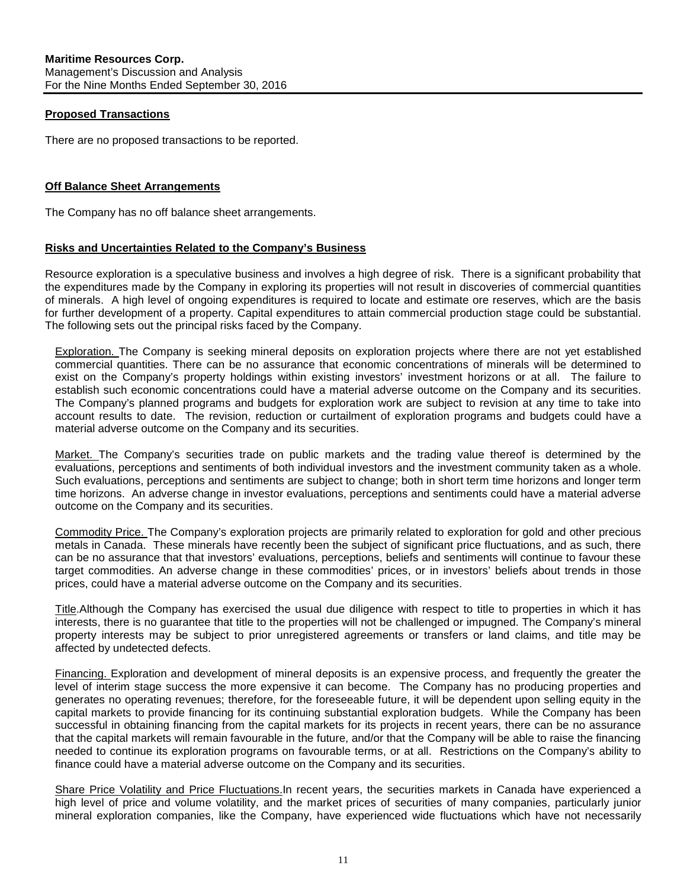## <span id="page-10-0"></span>**Proposed Transactions**

There are no proposed transactions to be reported.

#### <span id="page-10-1"></span>**Off Balance Sheet Arrangements**

The Company has no off balance sheet arrangements.

## <span id="page-10-2"></span>**Risks and Uncertainties Related to the Company's Business**

Resource exploration is a speculative business and involves a high degree of risk. There is a significant probability that the expenditures made by the Company in exploring its properties will not result in discoveries of commercial quantities of minerals. A high level of ongoing expenditures is required to locate and estimate ore reserves, which are the basis for further development of a property. Capital expenditures to attain commercial production stage could be substantial. The following sets out the principal risks faced by the Company.

Exploration. The Company is seeking mineral deposits on exploration projects where there are not yet established commercial quantities. There can be no assurance that economic concentrations of minerals will be determined to exist on the Company's property holdings within existing investors' investment horizons or at all. The failure to establish such economic concentrations could have a material adverse outcome on the Company and its securities. The Company's planned programs and budgets for exploration work are subject to revision at any time to take into account results to date. The revision, reduction or curtailment of exploration programs and budgets could have a material adverse outcome on the Company and its securities.

Market. The Company's securities trade on public markets and the trading value thereof is determined by the evaluations, perceptions and sentiments of both individual investors and the investment community taken as a whole. Such evaluations, perceptions and sentiments are subject to change; both in short term time horizons and longer term time horizons. An adverse change in investor evaluations, perceptions and sentiments could have a material adverse outcome on the Company and its securities.

Commodity Price. The Company's exploration projects are primarily related to exploration for gold and other precious metals in Canada. These minerals have recently been the subject of significant price fluctuations, and as such, there can be no assurance that that investors' evaluations, perceptions, beliefs and sentiments will continue to favour these target commodities. An adverse change in these commodities' prices, or in investors' beliefs about trends in those prices, could have a material adverse outcome on the Company and its securities.

Title.Although the Company has exercised the usual due diligence with respect to title to properties in which it has interests, there is no guarantee that title to the properties will not be challenged or impugned. The Company's mineral property interests may be subject to prior unregistered agreements or transfers or land claims, and title may be affected by undetected defects.

Financing. Exploration and development of mineral deposits is an expensive process, and frequently the greater the level of interim stage success the more expensive it can become. The Company has no producing properties and generates no operating revenues; therefore, for the foreseeable future, it will be dependent upon selling equity in the capital markets to provide financing for its continuing substantial exploration budgets. While the Company has been successful in obtaining financing from the capital markets for its projects in recent years, there can be no assurance that the capital markets will remain favourable in the future, and/or that the Company will be able to raise the financing needed to continue its exploration programs on favourable terms, or at all. Restrictions on the Company's ability to finance could have a material adverse outcome on the Company and its securities.

Share Price Volatility and Price Fluctuations.In recent years, the securities markets in Canada have experienced a high level of price and volume volatility, and the market prices of securities of many companies, particularly junior mineral exploration companies, like the Company, have experienced wide fluctuations which have not necessarily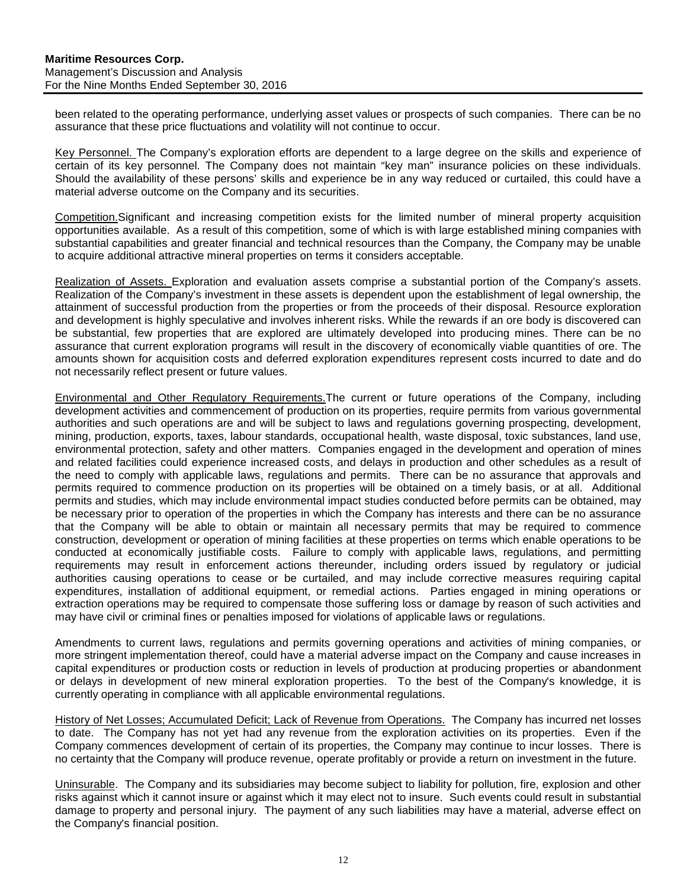been related to the operating performance, underlying asset values or prospects of such companies. There can be no assurance that these price fluctuations and volatility will not continue to occur.

Key Personnel. The Company's exploration efforts are dependent to a large degree on the skills and experience of certain of its key personnel. The Company does not maintain "key man" insurance policies on these individuals. Should the availability of these persons' skills and experience be in any way reduced or curtailed, this could have a material adverse outcome on the Company and its securities.

Competition.Significant and increasing competition exists for the limited number of mineral property acquisition opportunities available. As a result of this competition, some of which is with large established mining companies with substantial capabilities and greater financial and technical resources than the Company, the Company may be unable to acquire additional attractive mineral properties on terms it considers acceptable.

Realization of Assets. Exploration and evaluation assets comprise a substantial portion of the Company's assets. Realization of the Company's investment in these assets is dependent upon the establishment of legal ownership, the attainment of successful production from the properties or from the proceeds of their disposal. Resource exploration and development is highly speculative and involves inherent risks. While the rewards if an ore body is discovered can be substantial, few properties that are explored are ultimately developed into producing mines. There can be no assurance that current exploration programs will result in the discovery of economically viable quantities of ore. The amounts shown for acquisition costs and deferred exploration expenditures represent costs incurred to date and do not necessarily reflect present or future values.

Environmental and Other Regulatory Requirements.The current or future operations of the Company, including development activities and commencement of production on its properties, require permits from various governmental authorities and such operations are and will be subject to laws and regulations governing prospecting, development, mining, production, exports, taxes, labour standards, occupational health, waste disposal, toxic substances, land use, environmental protection, safety and other matters. Companies engaged in the development and operation of mines and related facilities could experience increased costs, and delays in production and other schedules as a result of the need to comply with applicable laws, regulations and permits. There can be no assurance that approvals and permits required to commence production on its properties will be obtained on a timely basis, or at all. Additional permits and studies, which may include environmental impact studies conducted before permits can be obtained, may be necessary prior to operation of the properties in which the Company has interests and there can be no assurance that the Company will be able to obtain or maintain all necessary permits that may be required to commence construction, development or operation of mining facilities at these properties on terms which enable operations to be conducted at economically justifiable costs. Failure to comply with applicable laws, regulations, and permitting requirements may result in enforcement actions thereunder, including orders issued by regulatory or judicial authorities causing operations to cease or be curtailed, and may include corrective measures requiring capital expenditures, installation of additional equipment, or remedial actions. Parties engaged in mining operations or extraction operations may be required to compensate those suffering loss or damage by reason of such activities and may have civil or criminal fines or penalties imposed for violations of applicable laws or regulations.

Amendments to current laws, regulations and permits governing operations and activities of mining companies, or more stringent implementation thereof, could have a material adverse impact on the Company and cause increases in capital expenditures or production costs or reduction in levels of production at producing properties or abandonment or delays in development of new mineral exploration properties. To the best of the Company's knowledge, it is currently operating in compliance with all applicable environmental regulations.

History of Net Losses; Accumulated Deficit; Lack of Revenue from Operations. The Company has incurred net losses to date. The Company has not yet had any revenue from the exploration activities on its properties. Even if the Company commences development of certain of its properties, the Company may continue to incur losses. There is no certainty that the Company will produce revenue, operate profitably or provide a return on investment in the future.

Uninsurable. The Company and its subsidiaries may become subject to liability for pollution, fire, explosion and other risks against which it cannot insure or against which it may elect not to insure. Such events could result in substantial damage to property and personal injury. The payment of any such liabilities may have a material, adverse effect on the Company's financial position.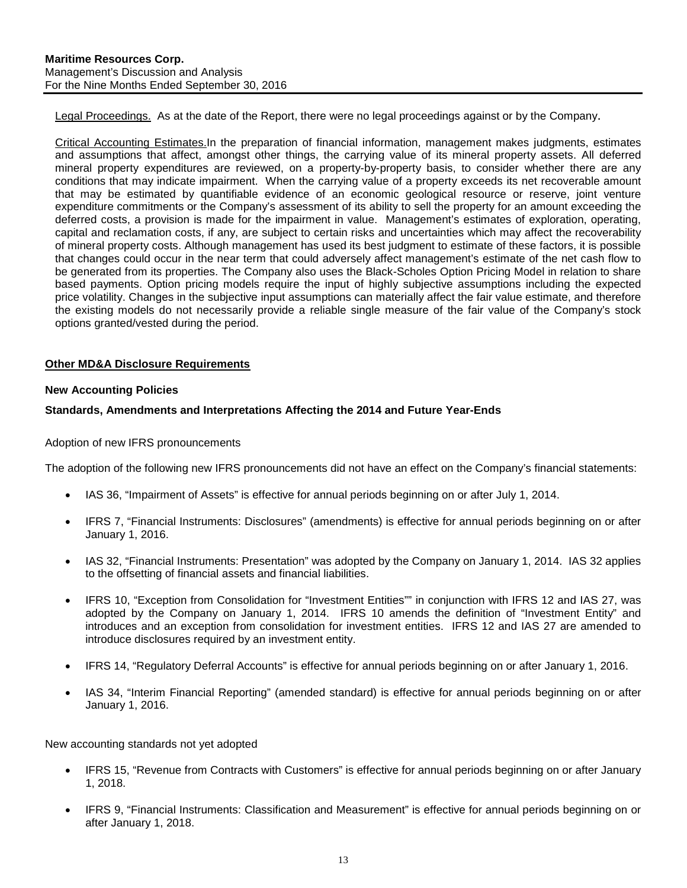Legal Proceedings. As at the date of the Report, there were no legal proceedings against or by the Company.

Critical Accounting Estimates.In the preparation of financial information, management makes judgments, estimates and assumptions that affect, amongst other things, the carrying value of its mineral property assets. All deferred mineral property expenditures are reviewed, on a property-by-property basis, to consider whether there are any conditions that may indicate impairment. When the carrying value of a property exceeds its net recoverable amount that may be estimated by quantifiable evidence of an economic geological resource or reserve, joint venture expenditure commitments or the Company's assessment of its ability to sell the property for an amount exceeding the deferred costs, a provision is made for the impairment in value. Management's estimates of exploration, operating, capital and reclamation costs, if any, are subject to certain risks and uncertainties which may affect the recoverability of mineral property costs. Although management has used its best judgment to estimate of these factors, it is possible that changes could occur in the near term that could adversely affect management's estimate of the net cash flow to be generated from its properties. The Company also uses the Black-Scholes Option Pricing Model in relation to share based payments. Option pricing models require the input of highly subjective assumptions including the expected price volatility. Changes in the subjective input assumptions can materially affect the fair value estimate, and therefore the existing models do not necessarily provide a reliable single measure of the fair value of the Company's stock options granted/vested during the period.

## <span id="page-12-0"></span>**Other MD&A Disclosure Requirements**

#### **New Accounting Policies**

## **Standards, Amendments and Interpretations Affecting the 2014 and Future Year-Ends**

#### Adoption of new IFRS pronouncements

The adoption of the following new IFRS pronouncements did not have an effect on the Company's financial statements:

- IAS 36, "Impairment of Assets" is effective for annual periods beginning on or after July 1, 2014.
- IFRS 7, "Financial Instruments: Disclosures" (amendments) is effective for annual periods beginning on or after January 1, 2016.
- IAS 32, "Financial Instruments: Presentation" was adopted by the Company on January 1, 2014. IAS 32 applies to the offsetting of financial assets and financial liabilities.
- IFRS 10, "Exception from Consolidation for "Investment Entities"" in conjunction with IFRS 12 and IAS 27, was adopted by the Company on January 1, 2014. IFRS 10 amends the definition of "Investment Entity" and introduces and an exception from consolidation for investment entities. IFRS 12 and IAS 27 are amended to introduce disclosures required by an investment entity.
- IFRS 14, "Regulatory Deferral Accounts" is effective for annual periods beginning on or after January 1, 2016.
- IAS 34, "Interim Financial Reporting" (amended standard) is effective for annual periods beginning on or after January 1, 2016.

New accounting standards not yet adopted

- IFRS 15, "Revenue from Contracts with Customers" is effective for annual periods beginning on or after January 1, 2018.
- IFRS 9, "Financial Instruments: Classification and Measurement" is effective for annual periods beginning on or after January 1, 2018.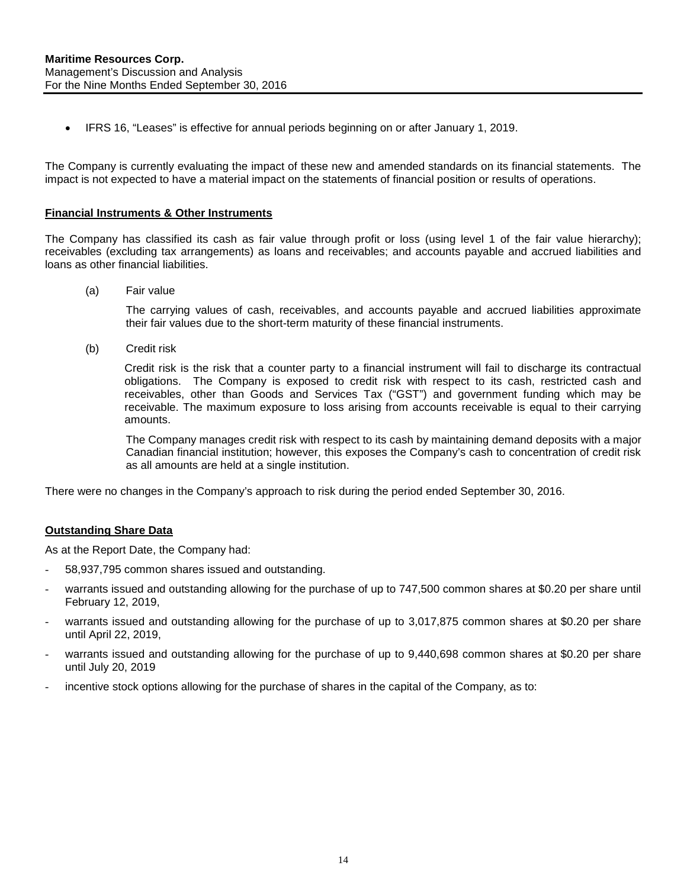• IFRS 16, "Leases" is effective for annual periods beginning on or after January 1, 2019.

The Company is currently evaluating the impact of these new and amended standards on its financial statements. The impact is not expected to have a material impact on the statements of financial position or results of operations.

#### **Financial Instruments & Other Instruments**

The Company has classified its cash as fair value through profit or loss (using level 1 of the fair value hierarchy); receivables (excluding tax arrangements) as loans and receivables; and accounts payable and accrued liabilities and loans as other financial liabilities.

(a) Fair value

The carrying values of cash, receivables, and accounts payable and accrued liabilities approximate their fair values due to the short-term maturity of these financial instruments.

(b) Credit risk

Credit risk is the risk that a counter party to a financial instrument will fail to discharge its contractual obligations. The Company is exposed to credit risk with respect to its cash, restricted cash and receivables, other than Goods and Services Tax ("GST") and government funding which may be receivable. The maximum exposure to loss arising from accounts receivable is equal to their carrying amounts.

The Company manages credit risk with respect to its cash by maintaining demand deposits with a major Canadian financial institution; however, this exposes the Company's cash to concentration of credit risk as all amounts are held at a single institution.

There were no changes in the Company's approach to risk during the period ended September 30, 2016.

#### **Outstanding Share Data**

As at the Report Date, the Company had:

- 58,937,795 common shares issued and outstanding.
- warrants issued and outstanding allowing for the purchase of up to 747,500 common shares at \$0.20 per share until February 12, 2019,
- warrants issued and outstanding allowing for the purchase of up to 3,017,875 common shares at \$0.20 per share until April 22, 2019,
- warrants issued and outstanding allowing for the purchase of up to 9,440,698 common shares at \$0.20 per share until July 20, 2019
- incentive stock options allowing for the purchase of shares in the capital of the Company, as to: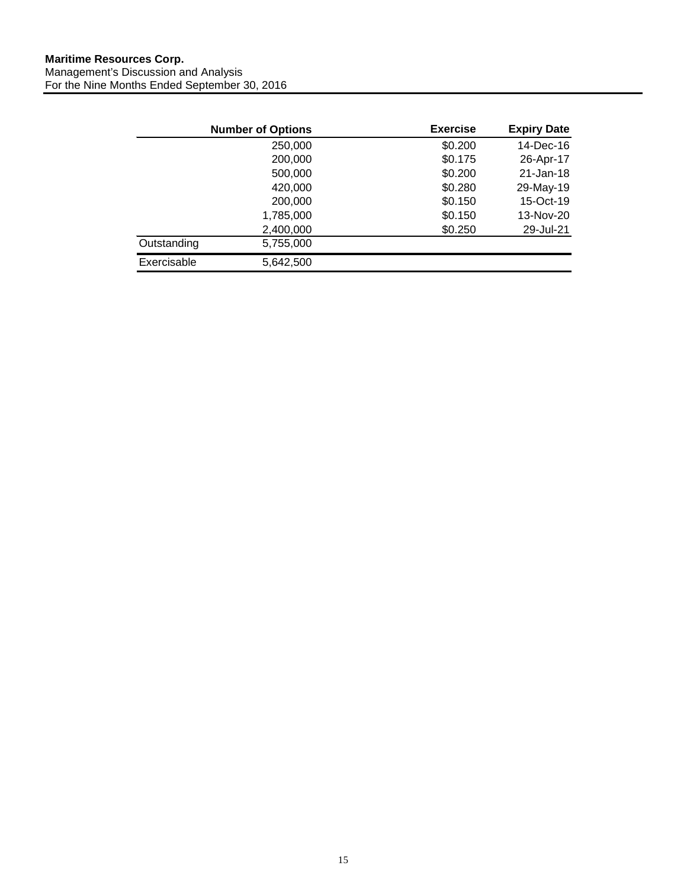|             | <b>Number of Options</b> | <b>Exercise</b> | <b>Expiry Date</b> |
|-------------|--------------------------|-----------------|--------------------|
|             | 250,000                  | \$0.200         | 14-Dec-16          |
|             | 200,000                  | \$0.175         | 26-Apr-17          |
|             | 500,000                  | \$0.200         | $21 - Jan-18$      |
|             | 420,000                  | \$0.280         | 29-May-19          |
|             | 200,000                  | \$0.150         | 15-Oct-19          |
|             | 1,785,000                | \$0.150         | 13-Nov-20          |
|             | 2,400,000                | \$0.250         | 29-Jul-21          |
| Outstanding | 5,755,000                |                 |                    |
| Exercisable | 5,642,500                |                 |                    |